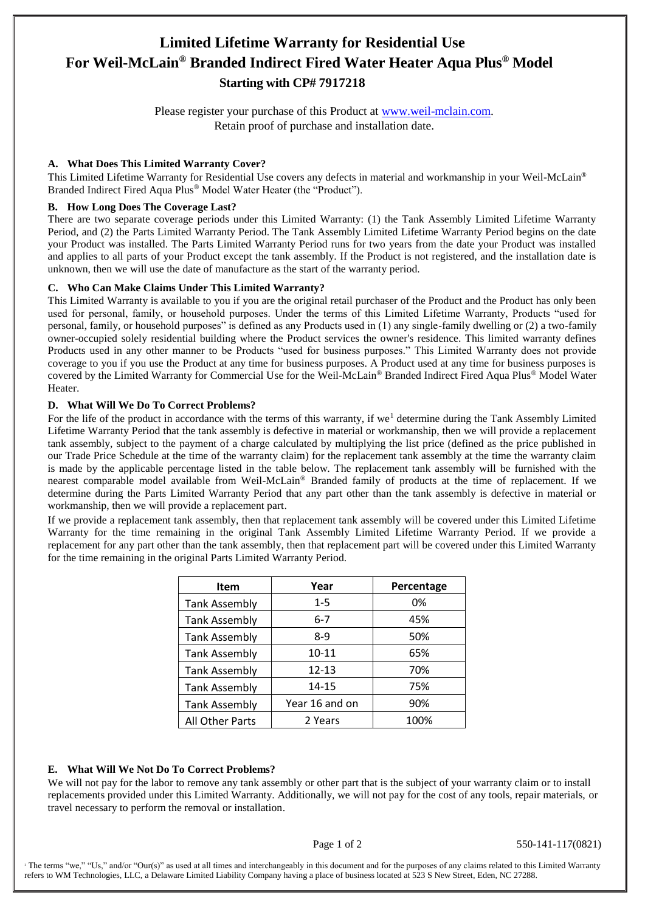# **Limited Lifetime Warranty for Residential Use For Weil-McLain® Branded Indirect Fired Water Heater Aqua Plus® Model Starting with CP# 7917218**

Please register your purchase of this Product at [www.weil-mclain.com.](http://www.weil-mclain.com/) Retain proof of purchase and installation date.

## **A. What Does This Limited Warranty Cover?**

This Limited Lifetime Warranty for Residential Use covers any defects in material and workmanship in your Weil-McLain® Branded Indirect Fired Aqua Plus® Model Water Heater (the "Product").

## **B. How Long Does The Coverage Last?**

There are two separate coverage periods under this Limited Warranty: (1) the Tank Assembly Limited Lifetime Warranty Period, and (2) the Parts Limited Warranty Period. The Tank Assembly Limited Lifetime Warranty Period begins on the date your Product was installed. The Parts Limited Warranty Period runs for two years from the date your Product was installed and applies to all parts of your Product except the tank assembly. If the Product is not registered, and the installation date is unknown, then we will use the date of manufacture as the start of the warranty period.

## **C. Who Can Make Claims Under This Limited Warranty?**

This Limited Warranty is available to you if you are the original retail purchaser of the Product and the Product has only been used for personal, family, or household purposes. Under the terms of this Limited Lifetime Warranty, Products "used for personal, family, or household purposes" is defined as any Products used in (1) any single-family dwelling or (2) a two-family owner-occupied solely residential building where the Product services the owner's residence. This limited warranty defines Products used in any other manner to be Products "used for business purposes." This Limited Warranty does not provide coverage to you if you use the Product at any time for business purposes. A Product used at any time for business purposes is covered by the Limited Warranty for Commercial Use for the Weil-McLain® Branded Indirect Fired Aqua Plus® Model Water **Heater** 

## **D. What Will We Do To Correct Problems?**

For the life of the product in accordance with the terms of this warranty, if we<sup>1</sup> determine during the Tank Assembly Limited Lifetime Warranty Period that the tank assembly is defective in material or workmanship, then we will provide a replacement tank assembly, subject to the payment of a charge calculated by multiplying the list price (defined as the price published in our Trade Price Schedule at the time of the warranty claim) for the replacement tank assembly at the time the warranty claim is made by the applicable percentage listed in the table below. The replacement tank assembly will be furnished with the nearest comparable model available from Weil-McLain® Branded family of products at the time of replacement. If we determine during the Parts Limited Warranty Period that any part other than the tank assembly is defective in material or workmanship, then we will provide a replacement part.

If we provide a replacement tank assembly, then that replacement tank assembly will be covered under this Limited Lifetime Warranty for the time remaining in the original Tank Assembly Limited Lifetime Warranty Period. If we provide a replacement for any part other than the tank assembly, then that replacement part will be covered under this Limited Warranty for the time remaining in the original Parts Limited Warranty Period.

| <b>Item</b>          | Year           | Percentage |
|----------------------|----------------|------------|
| <b>Tank Assembly</b> | $1 - 5$        | 0%         |
| <b>Tank Assembly</b> | $6 - 7$        | 45%        |
| <b>Tank Assembly</b> | $8-9$          | 50%        |
| <b>Tank Assembly</b> | $10 - 11$      | 65%        |
| <b>Tank Assembly</b> | $12 - 13$      | 70%        |
| <b>Tank Assembly</b> | 14-15          | 75%        |
| <b>Tank Assembly</b> | Year 16 and on | 90%        |
| All Other Parts      | 2 Years        | 100%       |

## **E. What Will We Not Do To Correct Problems?**

We will not pay for the labor to remove any tank assembly or other part that is the subject of your warranty claim or to install replacements provided under this Limited Warranty. Additionally, we will not pay for the cost of any tools, repair materials, or travel necessary to perform the removal or installation.

Page 1 of 2 550-141-117(0821)

<sup>1</sup> The terms "we," "Us," and/or "Our(s)" as used at all times and interchangeably in this document and for the purposes of any claims related to this Limited Warranty refers to WM Technologies, LLC, a Delaware Limited Liability Company having a place of business located at 523 S New Street, Eden, NC 27288.